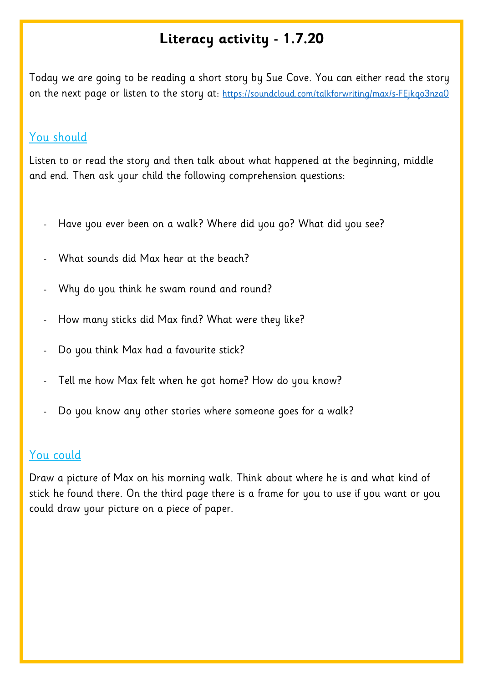## **Literacy activity - 1.7.20**

Today we are going to be reading a short story by Sue Cove. You can either read the story on the next page or listen to the story at: https://soundcloud.com/talkforwriting/max/s-FEjkgo3nza0

## You should

Listen to or read the story and then talk about what happened at the beginning, middle and end. Then ask your child the following comprehension questions:

- Have you ever been on a walk? Where did you go? What did you see?
- What sounds did Max hear at the beach?
- Why do you think he swam round and round?
- How many sticks did Max find? What were they like?
- Do you think Max had a favourite stick?
- Tell me how Max felt when he got home? How do you know?
- Do you know any other stories where someone goes for a walk?

## You could

Draw a picture of Max on his morning walk. Think about where he is and what kind of stick he found there. On the third page there is a frame for you to use if you want or you could draw your picture on a piece of paper.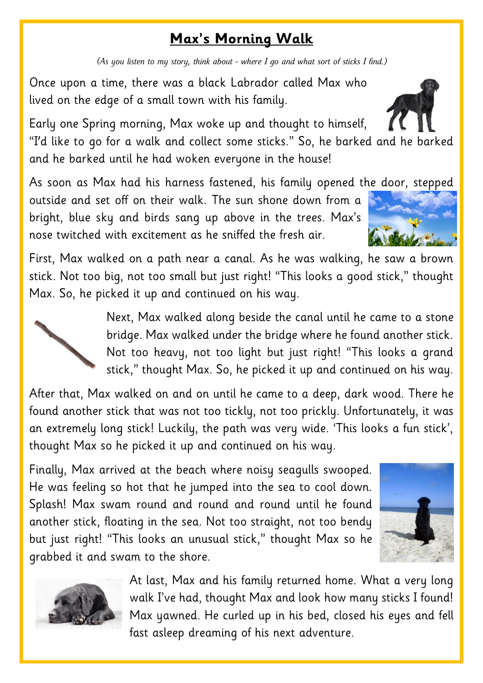## **Max's Morning Walk**

*(As you listen to my story, think about - where I go and what sort of sticks I find.)*

Once upon a time, there was a black Labrador called Max who lived on the edge of a small town with his family.

Early one Spring morning, Max woke up and thought to himself, "I'd like to go for a walk and collect some sticks." So, he barked and he barked

As soon as Max had his harness fastened, his family opened the door, stepped

outside and set off on their walk. The sun shone down from a bright, blue sky and birds sang up above in the trees. Max's nose twitched with excitement as he sniffed the fresh air.

and he barked until he had woken everyone in the house!

First, Max walked on a path near a canal. As he was walking, he saw a brown stick. Not too big, not too small but just right! "This looks a good stick," thought Max. So, he picked it up and continued on his way.

> Next, Max walked along beside the canal until he came to a stone bridge. Max walked under the bridge where he found another stick. Not too heavy, not too light but just right! "This looks a grand stick," thought Max. So, he picked it up and continued on his way.

After that, Max walked on and on until he came to a deep, dark wood. There he found another stick that was not too tickly, not too prickly. Unfortunately, it was an extremely long stick! Luckily, the path was very wide. 'This looks a fun stick', thought Max so he picked it up and continued on his way.

Finally, Max arrived at the beach where noisy seagulls swooped. He was feeling so hot that he jumped into the sea to cool down. Splash! Max swam round and round and round until he found another stick, floating in the sea. Not too straight, not too bendy but just right! "This looks an unusual stick," thought Max so he grabbed it and swam to the shore.





At last, Max and his family returned home. What a very long walk I've had, thought Max and look how many sticks I found! Max yawned. He curled up in his bed, closed his eyes and fell fast asleep dreaming of his next adventure.